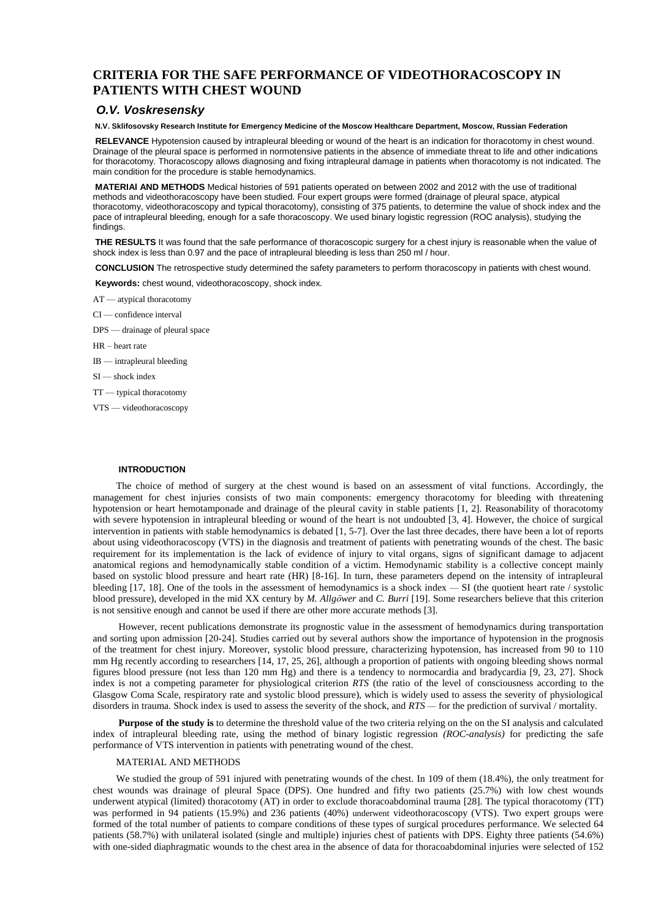# **CRITERIA FOR THE SAFE PERFORMANCE OF VIDEOTHORACOSCOPY IN PATIENTS WITH CHEST WOUND**

# *O.V. Voskresensky*

**N.V. Sklifosovsky Research Institute for Emergency Medicine of the Moscow Healthcare Department, Moscow, Russian Federation** 

**RELEVANCE** Hypotension caused by intrapleural bleeding or wound of the heart is an indication for thoracotomy in chest wound. Drainage of the pleural space is performed in normotensive patients in the absence of immediate threat to life and other indications for thoracotomy. Thoracoscopy allows diagnosing and fixing intrapleural damage in patients when thoracotomy is not indicated. The main condition for the procedure is stable hemodynamics.

**MATERIAl AND METHODS** Medical histories of 591 patients operated on between 2002 and 2012 with the use of traditional methods and videothoracoscopy have been studied. Four expert groups were formed (drainage of pleural space, atypical thoracotomy, videothoracoscopy and typical thoracotomy), consisting of 375 patients, to determine the value of shock index and the pace of intrapleural bleeding, enough for a safe thoracoscopy. We used binary logistic regression (ROС analysis), studying the findings.

**THE RESULTS** It was found that the safe performance of thoracoscopic surgery for a chest injury is reasonable when the value of shock index is less than 0.97 and the pace of intrapleural bleeding is less than 250 ml / hour.

**CONCLUSION** The retrospective study determined the safety parameters to perform thoracoscopy in patients with chest wound.

**Keywords:** chest wound, videothoracoscopy, shock index.

- AT atypical thoracotomy
- CI confidence interval
- DPS drainage of pleural space
- HR heart rate
- IB intrapleural bleeding
- SI shock index
- TT typical thoracotomy
- VTS videothoracoscopy

## **INTRODUCTION**

The choice of method of surgery at the chest wound is based on an assessment of vital functions. Accordingly, the management for chest injuries consists of two main components: emergency thoracotomy for bleeding with threatening hypotension or heart hemotamponade and drainage of the pleural cavity in stable patients [1, 2]. Reasonability of thoracotomy with severe hypotension in intrapleural bleeding or wound of the heart is not undoubted [3, 4]. However, the choice of surgical intervention in patients with stable hemodynamics is debated [1, 5-7]. Over the last three decades, there have been a lot of reports about using videothoracoscopy (VTS) in the diagnosis and treatment of patients with penetrating wounds of the chest. The basic requirement for its implementation is the lack of evidence of injury to vital organs, signs of significant damage to adjacent anatomical regions and hemodynamically stable condition of a victim. Hemodynamic stability is a collective concept mainly based on systolic blood pressure and heart rate (HR) [8-16]. In turn, these parameters depend on the intensity of intrapleural bleeding  $[17, 18]$ . One of the tools in the assessment of hemodynamics is a shock index  $- SI$  (the quotient heart rate / systolic blood pressure), developed in the mid XX century by *M. Allgöwer* and *C. Burri* [19]. Some researchers believe that this criterion is not sensitive enough and cannot be used if there are other more accurate methods [3].

However, recent publications demonstrate its prognostic value in the assessment of hemodynamics during transportation and sorting upon admission [20-24]. Studies carried out by several authors show the importance of hypotension in the prognosis of the treatment for chest injury. Moreover, systolic blood pressure, characterizing hypotension, has increased from 90 to 110 mm Hg recently according to researchers [14, 17, 25, 26], although a proportion of patients with ongoing bleeding shows normal figures blood pressure (not less than 120 mm Hg) and there is a tendency to normocardia and bradycardia [9, 23, 27]. Shock index is not a competing parameter for physiological criterion *RTS* (the ratio of the level of consciousness according to the Glasgow Coma Scale, respiratory rate and systolic blood pressure), which is widely used to assess the severity of physiological disorders in trauma. Shock index is used to assess the severity of the shock, and *RTS* — for the prediction of survival / mortality.

**Purpose of the study is** to determine the threshold value of the two criteria relying on the on the SI analysis and calculated index of intrapleural bleeding rate, using the method of binary logistic regression *(ROC-analysis)* for predicting the safe performance of VTS intervention in patients with penetrating wound of the chest.

#### MATERIAL AND METHODS

We studied the group of 591 injured with penetrating wounds of the chest. In 109 of them (18.4%), the only treatment for chest wounds was drainage of pleural Space (DPS). One hundred and fifty two patients (25.7%) with low chest wounds underwent atypical (limited) thoracotomy (AT) in order to exclude thoracoabdominal trauma [28]. The typical thoracotomy (TT) was performed in 94 patients (15.9%) and 236 patients (40%) underwent videothoracoscopy (VTS). Two expert groups were formed of the total number of patients to compare conditions of these types of surgical procedures performance. We selected 64 patients (58.7%) with unilateral isolated (single and multiple) injuries chest of patients with DPS. Eighty three patients (54.6%) with one-sided diaphragmatic wounds to the chest area in the absence of data for thoracoabdominal injuries were selected of 152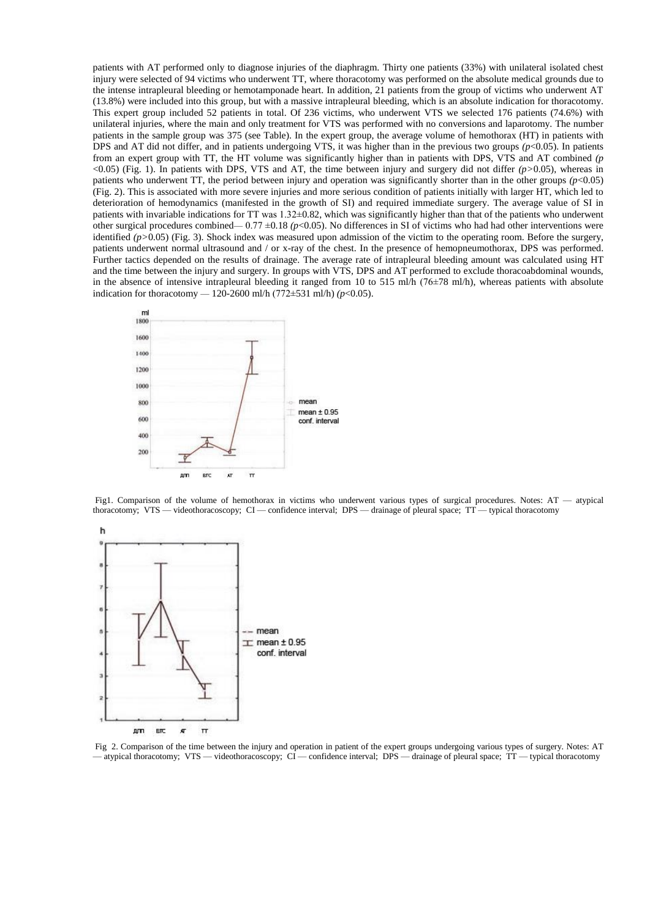patients with AT performed only to diagnose injuries of the diaphragm. Thirty one patients (33%) with unilateral isolated chest injury were selected of 94 victims who underwent TT, where thoracotomy was performed on the absolute medical grounds due to the intense intrapleural bleeding or hemotamponade heart. In addition, 21 patients from the group of victims who underwent AT (13.8%) were included into this group, but with a massive intrapleural bleeding, which is an absolute indication for thoracotomy. This expert group included 52 patients in total. Of 236 victims, who underwent VTS we selected 176 patients (74.6%) with unilateral injuries, where the main and only treatment for VTS was performed with no conversions and laparotomy. The number patients in the sample group was 375 (see Table). In the expert group, the average volume of hemothorax (HT) in patients with DPS and AT did not differ, and in patients undergoing VTS, it was higher than in the previous two groups *(p*<0.05). In patients from an expert group with TT, the HT volume was significantly higher than in patients with DPS, VTS and AT combined *(p* <0.05) (Fig. 1). In patients with DPS, VTS and AT, the time between injury and surgery did not differ *(p>*0.05), whereas in patients who underwent TT, the period between injury and operation was significantly shorter than in the other groups  $(p<0.05)$ (Fig. 2). This is associated with more severe injuries and more serious condition of patients initially with larger HT, which led to deterioration of hemodynamics (manifested in the growth of SI) and required immediate surgery. The average value of SI in patients with invariable indications for TT was 1.32±0.82, which was significantly higher than that of the patients who underwent other surgical procedures combined—  $0.77 \pm 0.18$  ( $p<0.05$ ). No differences in SI of victims who had had other interventions were identified (p>0.05) (Fig. 3). Shock index was measured upon admission of the victim to the operating room. Before the surgery, patients underwent normal ultrasound and / or x-ray of the chest. In the presence of hemopneumothorax, DPS was performed. Further tactics depended on the results of drainage. The average rate of intrapleural bleeding amount was calculated using HT and the time between the injury and surgery. In groups with VTS, DPS and AT performed to exclude thoracoabdominal wounds, in the absence of intensive intrapleural bleeding it ranged from 10 to 515 ml/h ( $76\pm78$  ml/h), whereas patients with absolute indication for thoracotomy — 120-2600 ml/h (772 $\pm$ 531 ml/h) *(p*<0.05).



Fig1. Comparison of the volume of hemothorax in victims who underwent various types of surgical procedures. Notes: AT — atypical thoracotomy; VTS — videothoracoscopy; CI — confidence interval; DPS — drainage of pleural space; TT — typical thoracotomy



Fig 2. Comparison of the time between the injury and operation in patient of the expert groups undergoing various types of surgery. Notes: AT - atypical thoracotomy; VTS — videothoracoscopy; CI — confidence interval; DPS — drainage of pleural space; TT — typical thoracotomy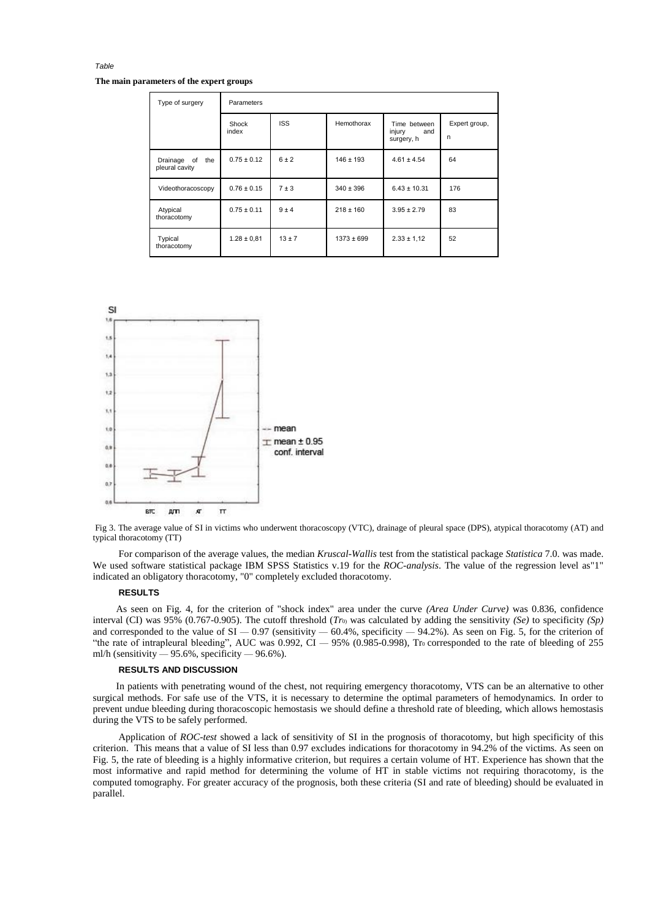**The main parameters of the expert groups** 

*Table* 

| Type of surgery                         | Parameters      |            |                |                                             |                    |
|-----------------------------------------|-----------------|------------|----------------|---------------------------------------------|--------------------|
|                                         | Shock<br>index  | <b>ISS</b> | Hemothorax     | Time between<br>injury<br>and<br>surgery, h | Expert group,<br>n |
| of<br>the<br>Drainage<br>pleural cavity | $0.75 \pm 0.12$ | $6 \pm 2$  | $146 \pm 193$  | $4.61 \pm 4.54$                             | 64                 |
| Videothoracoscopy                       | $0.76 \pm 0.15$ | $7 + 3$    | $340 \pm 396$  | $6.43 \pm 10.31$                            | 176                |
| Atypical<br>thoracotomy                 | $0.75 \pm 0.11$ | $9 + 4$    | $218 \pm 160$  | $3.95 \pm 2.79$                             | 83                 |
| Typical<br>thoracotomy                  | $1.28 \pm 0.81$ | $13 \pm 7$ | $1373 \pm 699$ | $2.33 \pm 1.12$                             | 52                 |



Fig 3. The average value of SI in victims who underwent thoracoscopy (VTC), drainage of pleural space (DPS), atypical thoracotomy (AT) and typical thoracotomy (TT)

For comparison of the average values, the median *Kruscal-Wallis* test from the statistical package *Statistica* 7.0. was made. We used software statistical package IBM SPSS Statistics v.19 for the *ROC-analysis*. The value of the regression level as"1" indicated an obligatory thoracotomy, "0" completely excluded thoracotomy.

# **RESULTS**

As seen on Fig. 4, for the criterion of "shock index" area under the curve *(Area Under Curve)* was 0.836, confidence interval (CI) was 95% (0.767-0.905). The cutoff threshold  $(Tr_0)$  was calculated by adding the sensitivity  $(Se)$  to specificity  $(Sp)$ and corresponded to the value of  $SI = 0.97$  (sensitivity  $-60.4\%$ , specificity  $-94.2\%$ ). As seen on Fig. 5, for the criterion of "the rate of intrapleural bleeding", AUC was  $0.992$ , CI  $-95\%$   $(0.985-0.998)$ , Tro corresponded to the rate of bleeding of 255 ml/h (sensitivity  $-95.6\%$ , specificity  $-96.6\%$ ).

### **RESULTS AND DISCUSSION**

In patients with penetrating wound of the chest, not requiring emergency thoracotomy, VTS can be an alternative to other surgical methods. For safe use of the VTS, it is necessary to determine the optimal parameters of hemodynamics. In order to prevent undue bleeding during thoracoscopic hemostasis we should define a threshold rate of bleeding, which allows hemostasis during the VTS to be safely performed.

Application of *ROC-test* showed a lack of sensitivity of SI in the prognosis of thoracotomy, but high specificity of this criterion. This means that a value of SI less than 0.97 excludes indications for thoracotomy in 94.2% of the victims. As seen on Fig. 5, the rate of bleeding is a highly informative criterion, but requires a certain volume of HT. Experience has shown that the most informative and rapid method for determining the volume of HT in stable victims not requiring thoracotomy, is the computed tomography. For greater accuracy of the prognosis, both these criteria (SI and rate of bleeding) should be evaluated in parallel.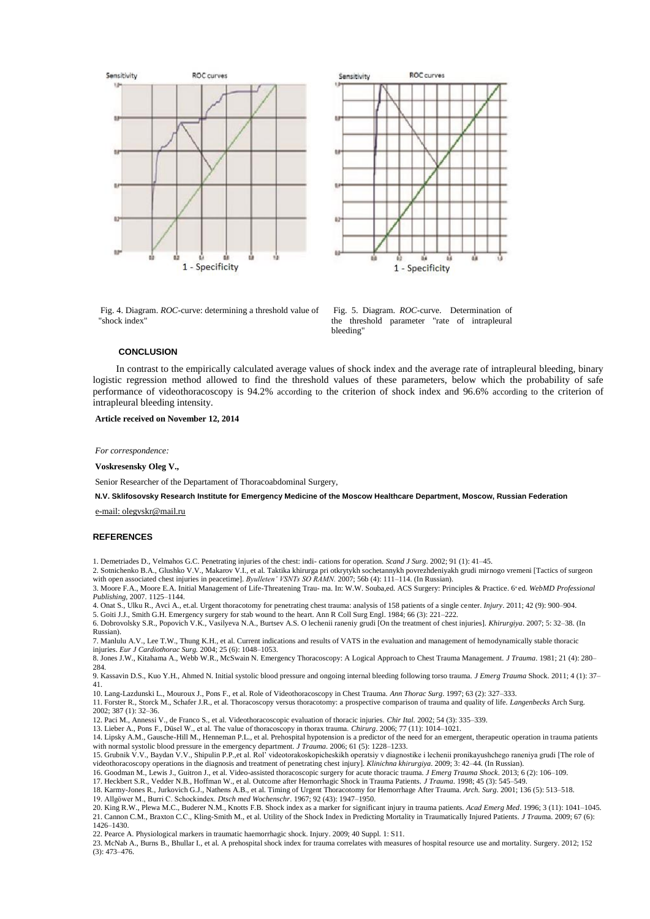



Fig. 4. Diagram. *ROC*-curve: determining a threshold value of "shock index"

Fig. 5. Diagram. *ROC*-curve. Determination of the threshold parameter "rate of intrapleural bleeding"

## **CONCLUSION**

In contrast to the empirically calculated average values of shock index and the average rate of intrapleural bleeding, binary logistic regression method allowed to find the threshold values of these parameters, below which the probability of safe performance of videothoracoscopy is 94.2% according to the criterion of shock index and 96.6% according to the criterion of intrapleural bleeding intensity.

**Article received on November 12, 2014** 

*For correspondence:* 

**Voskresensky Oleg V.,** 

Senior Researcher of the Departament of Thoracoabdominal Surgery,

**N.V. Sklifosovsky Research Institute for Emergency Medicine of the Moscow Healthcare Department, Moscow, Russian Federation** 

[e-mail: olegvskr@mail.ru](mailto:olegvskr@mail.ru)

### **REFERENCES**

1. Demetriades D., Velmahos G.C. Penetrating injuries of the chest: indi- cations for operation. *Scand J Surg*. 2002; 91 (1): 41–45.

2. Sotnichenko B.A., Glushko V.V., Makarov V.I., et al. Taktika khirurga pri otkrytykh sochetannykh povrezhdeniyakh grudi mirnogo vremeni [Tactics of surgeon with open associated chest injuries in peacetime]. *Byulleten' VSNTs SO RAMN*. 2007; 56b (4): 111-114. (In Russian).

3. Moore F.A., Moore E.A. Initial Management of Life-Threatening Trau- ma. In: W.W. Souba,ed. ACS Surgery: Principles & Practice. 6<sup>th</sup>ed. WebMD Professional *Publishing*, 2007. 1125–1144.

4. Onat S., Ulku R., Avci A., et.al. Urgent thoracotomy for penetrating chest trauma: analysis of 158 patients of a single center. *Injury*. 2011; 42 (9): 900–904.

5. Goiti J.J., Smith G.H. Emergency surgery for stab wound to the heart. Ann R Coll Surg Engl. 1984; 66 (3): 221–222.

6. Dobrovolsky S.R., Popovich V.K., Vasilyeva N.A., Burtsev A.S. O lechenii raneniy grudi [On the treatment of chest injuries]. *Khirurgiya*. 2007; 5: 32–38. (In Russian).

7. Manlulu A.V., Lee T.W., Thung K.H., et al. Current indications and results of VATS in the evaluation and management of hemodynamically stable thoracic injuries. *Eur J Cardiothorac Surg.* 2004; 25 (6): 1048–1053.

8. Jones J.W., Kitahama A., Webb W.R., McSwain N. Emergency Thoracoscopy: A Logical Approach to Chest Trauma Management. *J Trauma*. 1981; 21 (4): 280–  $284$ 

9. Kassavin D.S., Kuo Y.H., Ahmed N. Initial systolic blood pressure and ongoing internal bleeding following torso trauma. *J Emerg Trauma* Shock. 2011; 4 (1): 37– 41.

10. Lang-Lazdunski L., Mouroux J., Pons F., et al. Role of Videothoracoscopy in Chest Trauma. *Ann Thorac Surg*. 1997; 63 (2): 327–333.

11. Forster R., Storck M., Schafer J.R., et al. Thoracoscopy versus thoracotomy: a prospective comparison of trauma and quality of life. *Langenbecks* Arch Surg. 2002; 387 (1): 32–36.

12. Paci M., Annessi V., de Franco S., et al. Videothoracoscopic evaluation of thoracic injuries. *Chir Ital.* 2002; 54 (3): 335–339.

13. Lieber A., Pons F., Düsel W., et al. The value of thoracoscopy in thorax trauma. *Chirurg*. 2006; 77 (11): 1014–1021.

14. Lipsky A.M., Gausche-Hill M., Henneman P.L., et al. Prehospital hypotension is a predictor of the need for an emergent, therapeutic operation in trauma patients with normal systolic blood pressure in the emergency department. *J Trauma*. 2006; 61 (5): 1228–1233.

15. Grubnik V.V., Baydan V.V., Shipulin P.P.,et al. Rol' videotorakoskopicheskikh operatsiy v diagnostike i lechenii pronikayushchego raneniya grudi [The role of videothoracoscopy operations in the diagnosis and treatment of penetrating chest injury]. *Klіnіchna khіrurgіya*. 2009; 3: 42–44. (In Russian).

16. Goodman M., Lewis J., Guitron J., et al. Video-assisted thoracoscopic surgery for acute thoracic trauma. *J Emerg Trauma Shock*. 2013; 6 (2): 106–109. 17. Heckbert S.R., Vedder N.B., Hoffman W., et al. Outcome after Hemorrhagic Shock in Trauma Patients. *J Trauma*. 1998; 45 (3): 545–549.

18. Karmy-Jones R., Jurkovich G.J., Nathens A.B., et al. Timing of Urgent Thoracotomy for Hemorrhage After Trauma. *Arch. Surg*. 2001; 136 (5): 513–518.

19. Allgöwer M., Burri C. Schockindex. *Dtsch med Wochenschr*. 1967; 92 (43): 1947–1950.

20. King R.W., Plewa M.C., Buderer N.M., Knotts F.B. Shock index as a marker for significant injury in trauma patients. *Acad Emerg Med*. 1996; 3 (11): 1041–1045. 21. Cannon C.M., Braxton C.С., Kling-Smith M., et al. Utility of the Shock Index in Predicting Mortality in Traumatically Injured Patients. *J Trau*ma. 2009; 67 (6): 1426–1430.

22. Pearce A. Physiological markers in traumatic haemorrhagic shock. Injury. 2009; 40 Suppl. 1: S11.

23. McNab A., Burns B., Bhullar I., et al. A prehospital shock index for trauma correlates with measures of hospital resource use and mortality. Surgery. 2012; 152 (3): 473–476.